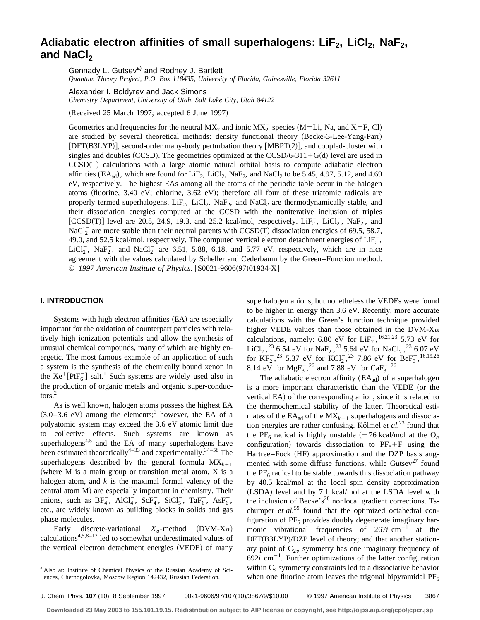# Adiabatic electron affinities of small superhalogens: LiF<sub>2</sub>, LiCl<sub>2</sub>, NaF<sub>2</sub>, and NaCl<sub>2</sub>

Gennady L. Gutsev<sup>a)</sup> and Rodney J. Bartlett

*Quantum Theory Project, P.O. Box 118435, University of Florida, Gainesville, Florida 32611*

Alexander I. Boldyrev and Jack Simons

*Chemistry Department, University of Utah, Salt Lake City, Utah 84122*

 $(Received 25 March 1997; accepted 6 June 1997)$ 

Geometries and frequencies for the neutral  $MX_2$  and ionic  $MX_2^-$  species (M=Li, Na, and X=F, Cl) are studied by several theoretical methods: density functional theory (Becke-3-Lee-Yang-Parr) [DFT(B3LYP)], second-order many-body perturbation theory [MBPT(2)], and coupled-cluster with singles and doubles  $(CCSD)$ . The geometries optimized at the  $CCSD/6-311+G(d)$  level are used in  $CCSD(T)$  calculations with a large atomic natural orbital basis to compute adiabatic electron affinities (EA<sub>ad</sub>), which are found for LiF<sub>2</sub>, LiCl<sub>2</sub>, NaF<sub>2</sub>, and NaCl<sub>2</sub> to be 5.45, 4.97, 5.12, and 4.69 eV, respectively. The highest EAs among all the atoms of the periodic table occur in the halogen atoms (fluorine,  $3.40 \text{ eV}$ ; chlorine,  $3.62 \text{ eV}$ ); therefore all four of these triatomic radicals are properly termed superhalogens. LiF<sub>2</sub>, LiCl<sub>2</sub>, NaF<sub>2</sub>, and NaCl<sub>2</sub> are thermodynamically stable, and their dissociation energies computed at the CCSD with the noniterative inclusion of triples [CCSD(T)] level are 20.5, 24.9, 19.3, and 25.2 kcal/mol, respectively.  $\text{LiF}_2^-$ ,  $\text{LiCl}_2^-, \text{NaF}_2^-, \text{and}$ NaCl<sub>2</sub> are more stable than their neutral parents with CCSD(T) dissociation energies of 69.5, 58.7, 49.0, and 52.5 kcal/mol, respectively. The computed vertical electron detachment energies of  $\text{LiF}_2^$ , LiCl<sub>2</sub>, NaF<sub>2</sub>, and NaCl<sub>2</sub> are 6.51, 5.88, 6.18, and 5.77 eV, respectively, which are in nice agreement with the values calculated by Scheller and Cederbaum by the Green–Function method. © 1997 American Institute of Physics. [S0021-9606(97)01934-X]

## **I. INTRODUCTION**

Systems with high electron affinities (EA) are especially important for the oxidation of counterpart particles with relatively high ionization potentials and allow the synthesis of unusual chemical compounds, many of which are highly energetic. The most famous example of an application of such a system is the synthesis of the chemically bound xenon in the  $Xe^{+}[PtF_{6}^{-}]$  salt.<sup>1</sup> Such systems are widely used also in the production of organic metals and organic super-conductors.<sup>2</sup>

As is well known, halogen atoms possess the highest EA  $(3.0-3.6 \text{ eV})$  among the elements;<sup>3</sup> however, the EA of a polyatomic system may exceed the 3.6 eV atomic limit due to collective effects. Such systems are known as superhalogens<sup>4,5</sup> and the EA of many superhalogens have been estimated theoretically<sup>4–33</sup> and experimentally.<sup>34–58</sup> The superhalogens described by the general formula  $MX_{k+1}$ (where  $M$  is a main group or transition metal atom,  $X$  is a halogen atom, and *k* is the maximal formal valency of the central atom M) are especially important in chemistry. Their anions, such as  $BF_4^-$ ,  $AICl_4^-$ ,  $ScF_4^-$ ,  $SiCl_5^-$ ,  $TaF_6^-$ ,  $AsF_6^-$ , etc., are widely known as building blocks in solids and gas phase molecules.

Early discrete-variational  $X_a$ -method (DVM-X $\alpha$ ) calculations $4,5,8-12$  led to somewhat underestimated values of the vertical electron detachment energies (VEDE) of many superhalogen anions, but nonetheless the VEDEs were found to be higher in energy than 3.6 eV. Recently, more accurate calculations with the Green's function technique provided higher VEDE values than those obtained in the DVM-X $\alpha$ calculations, namely: 6.80 eV for  $\text{LiF}_2^{-}$ , <sup>16,21,23</sup> 5.73 eV for LiCl<sub>2</sub>,<sup>23</sup> 6.54 eV for NaF<sub>2</sub>,<sup>23</sup> 5.64 eV for NaCl<sub>2</sub>,<sup>23</sup> 6.07 eV for  $KF_2^{\text{-}}$ ,<sup>23</sup> 5.37 eV for  $KCl_2^{\text{-}}$ ,<sup>23</sup> 7.86 eV for  $BeF_3^{\text{-}}$ , <sup>16,19,26</sup> 8.14 eV for MgF<sub>3</sub><sup>-26</sup> and 7.88 eV for CaF<sub>3</sub><sup>-26</sup>

The adiabatic electron affinity  $(EA_{ad})$  of a superhalogen is a more important characteristic than the VEDE (or the vertical EA) of the corresponding anion, since it is related to the thermochemical stability of the latter. Theoretical estimates of the  $EA_{ad}$  of the  $MX_{k+1}$  superhalogens and dissociation energies are rather confusing. Kölmel *et al.*<sup>23</sup> found that the PF<sub>6</sub> radical is highly unstable  $(-76 \text{ kcal/mol at the O}<sub>h</sub>)$ configuration) towards dissociation to  $PF_5+F$  using the Hartree–Fock (HF) approximation and the DZP basis augmented with some diffuse functions, while  $Gutsev<sup>27</sup>$  found the  $PF<sub>6</sub>$  radical to be stable towards this dissociation pathway by 40.5 kcal/mol at the local spin density approximation (LSDA) level and by 7.1 kcal/mol at the LSDA level with the inclusion of Becke's<sup>28</sup> nonlocal gradient corrections. Tschumper *et al.*<sup>59</sup> found that the optimized octahedral configuration of  $PF_6$  provides doubly degenerate imaginary harmonic vibrational frequencies of  $267i$  cm<sup>-1</sup> at the DFT(B3LYP)/DZP level of theory; and that another stationary point of  $C_{2v}$  symmetry has one imaginary frequency of  $692i$  cm<sup>-1</sup>. Further optimizations of the latter configuration within C*<sup>s</sup>* symmetry constraints led to a dissociative behavior when one fluorine atom leaves the trigonal bipyramidal  $PF_5$ 

a)Also at: Institute of Chemical Physics of the Russian Academy of Sciences, Chernogolovka, Moscow Region 142432, Russian Federation.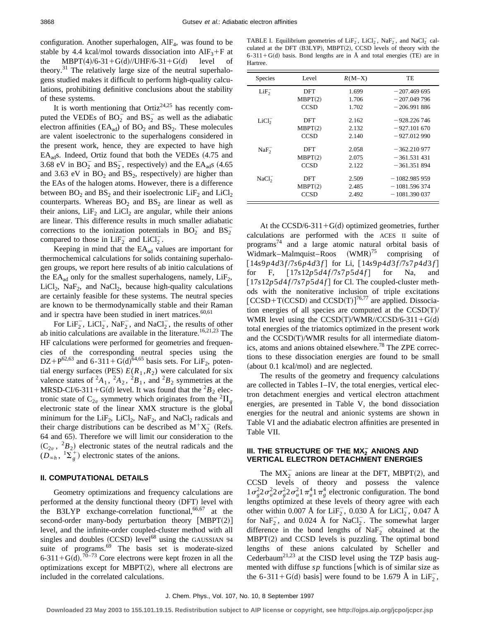It is worth mentioning that  $\text{Ortiz}^{24,25}$  has recently computed the VEDEs of  $BO_2^-$  and  $BS_2^-$  as well as the adiabatic electron affinities ( $EA_{ad}$ ) of  $BO<sub>2</sub>$  and  $BS<sub>2</sub>$ . These molecules are valent isoelectronic to the superhalogens considered in the present work, hence, they are expected to have high  $EA_{ad}$ s. Indeed, Ortiz found that both the VEDEs  $(4.75 \text{ and } 4.75 \text{)}$ 3.68 eV in  $BO_2^-$  and  $BS_2^-$ , respectively) and the  $EA_{ad}s$  (4.65) and 3.63 eV in  $BO<sub>2</sub>$  and  $BS<sub>2</sub>$ , respectively) are higher than the EAs of the halogen atoms. However, there is a difference between  $BO_2$  and  $BS_2$  and their isoelectronic  $LiF_2$  and  $LiCl_2$ counterparts. Whereas  $BO<sub>2</sub>$  and  $BS<sub>2</sub>$  are linear as well as their anions,  $LiF<sub>2</sub>$  and  $LiCl<sub>2</sub>$  are angular, while their anions are linear. This difference results in much smaller adiabatic corrections to the ionization potentials in  $BO_2^-$  and  $BS_2^$ compared to those in  $\text{LiF}_2^-$  and  $\text{LiCl}_2^-$ .

Keeping in mind that the  $EA_{ad}$  values are important for thermochemical calculations for solids containing superhalogen groups, we report here results of ab initio calculations of the  $EA_{ad}$  only for the smallest superhalogens, namely,  $LiF<sub>2</sub>$ ,  $LiCl<sub>2</sub>$ , NaF<sub>2</sub>, and NaCl<sub>2</sub>, because high-quality calculations are certainly feasible for these systems. The neutral species are known to be thermodynamically stable and their Raman and ir spectra have been studied in inert matrices. $60,61$ 

For  $\text{LiF}_2^-$ ,  $\text{LiCl}_2^-$ ,  $\text{NaF}_2^-$ , and  $\text{NaCl}_2^-$ , the results of other ab initio calculations are available in the literature.<sup>16,21,23</sup> The HF calculations were performed for geometries and frequencies of the corresponding neutral species using the  $DZ + P^{62,63}$  and 6-311+G(d)<sup>64,65</sup> basis sets. For LiF<sub>2</sub>, potential energy surfaces (PES)  $E(R_1, R_2)$  were calculated for six valence states of  ${}^2A_1$ ,  ${}^2A_2$ ,  ${}^2B_1$ , and  ${}^2B_2$  symmetries at the MRSD-CI/6-311+G(d) level. It was found that the <sup>2</sup> $B_2$  electronic state of  $C_{2v}$  symmetry which originates from the <sup>2</sup> $\Pi$ <sub>g</sub> electronic state of the linear XMX structure is the global minimum for the  $LiF_2$ ,  $LiCl_2$ ,  $NaF_2$ , and  $NaCl_2$  radicals and their charge distributions can be described as  $M^{+}X_{2}^{-}$  (Refs. 64 and 65). Therefore we will limit our consideration to the  $(C_{2\nu}, {}^{2}B_{2})$  electronic states of the neutral radicals and the  $(D_{\infty h}^{\bullet}, {}^{1}\Sigma_{g}^{+})$  electronic states of the anions.

## **II. COMPUTATIONAL DETAILS**

Geometry optimizations and frequency calculations are performed at the density functional theory (DFT) level with the B3LYP exchange-correlation functional,  $66,67$  at the second-order many-body perturbation theory  $[MBPT(2)]$ level, and the infinite-order coupled-cluster method with all singles and doubles  $(CCSD)$  level<sup>68</sup> using the GAUSSIAN 94 suite of programs.<sup>69</sup> The basis set is moderate-sized 6-311+G(d).<sup>70-73</sup> Core electrons were kept frozen in all the optimizations except for  $MBPT(2)$ , where all electrons are included in the correlated calculations.

TABLE I. Equilibrium geometries of  $\text{LiF}_2^-$ ,  $\text{LiCl}_2^-$ ,  $\text{NaF}_2^-$ , and  $\text{NaCl}_2^-$  calculated at the DFT (B3LYP), MBPT(2), CCSD levels of theory with the 6-311+G(d) basis. Bond lengths are in Å and total energies (TE) are in Hartree.

| Species           | Level       | $R(M-X)$ | TE             |
|-------------------|-------------|----------|----------------|
| $LiF_2^-$         | DFT         | 1.699    | $-207.469695$  |
|                   | MBPT(2)     | 1.706    | $-207.049796$  |
|                   | CCSD        | 1.702    | $-206.991886$  |
| LiCl <sub>2</sub> | DFT         | 2.162    | $-928.226746$  |
|                   | MBPT(2)     | 2.132    | $-927.101670$  |
|                   | <b>CCSD</b> | 2.140    | $-927.012990$  |
| $NaF_2^-$         | DFT         | 2.058    | $-362.210977$  |
|                   | MBPT(2)     | 2.075    | $-361.531.431$ |
|                   | <b>CCSD</b> | 2.122    | $-361.351.894$ |
| NaCl <sub>2</sub> | DFT         | 2.509    | $-1082.98595$  |
|                   | MBPT(2)     | 2.485    | $-1081.596374$ |
|                   | CCSD        | 2.492    | $-1081.390037$ |

At the  $CCSD/6-311+G(d)$  optimized geometries, further calculations are performed with the ACES II suite of programs<sup>74</sup> and a large atomic natural orbital basis of Widmark–Malmquist–Roos  $(WMR)^{75}$ comprising of  $[14s9p4d3f/7s6p4d3f]$  for Li,  $[14s9p4d3f/7s7p4d3f]$ for F,  $[17s12p5d4f/7s7p5d4f]$  for Na, and  $[17s12p5d4f/7s7p5d4f]$  for Cl. The coupled-cluster methods with the noniterative inclusion of triple excitations  $[CCSD+T(CCSD)$  and  $CCSD(T)]^{76,77}$  are applied. Dissociation energies of all species are computed at the  $CCSD(T)/T$ WMR level using the CCSD(T)/WMR//CCSD/6-311+G(d) total energies of the triatomics optimized in the present work and the  $CCSD(T)/WMR$  results for all intermediate diatomics, atoms and anions obtained elsewhere.<sup>78</sup> The ZPE corrections to these dissociation energies are found to be small  $(about 0.1 kcal/mol)$  and are neglected.

The results of the geometry and frequency calculations are collected in Tables I–IV, the total energies, vertical electron detachment energies and vertical electron attachment energies, are presented in Table V, the bond dissociation energies for the neutral and anionic systems are shown in Table VI and the adiabatic electron affinities are presented in Table VII.

## III. THE STRUCTURE OF THE MX<del>2</del> ANIONS AND **VERTICAL ELECTRON DETACHMENT ENERGIES**

The  $MX_2^-$  anions are linear at the DFT, MBPT(2), and CCSD levels of theory and possess the valence  $1\sigma_g^2 2\sigma_u^2 2\sigma_u^2 1\pi_u^4 1\pi_g^4$  electronic configuration. The bond lengths optimized at these levels of theory agree with each other within 0.007 Å for LiF<sub>2</sub>, 0.030 Å for LiCl<sub>2</sub>, 0.047 Å for NaF<sub>2</sub>, and 0.024 Å for NaCl<sub>2</sub>. The somewhat larger difference in the bond lengths of  $\text{NaF}_2^-$  obtained at the  $MBPT(2)$  and CCSD levels is puzzling. The optimal bond lengths of these anions calculated by Scheller and Cederbaum<sup>21,23</sup> at the CISD level using the TZP basis augmented with diffuse  $sp$  functions [which is of similar size as the 6-311+G(d) basis] were found to be 1.679 Å in  $\text{LiF}_2^-$ ,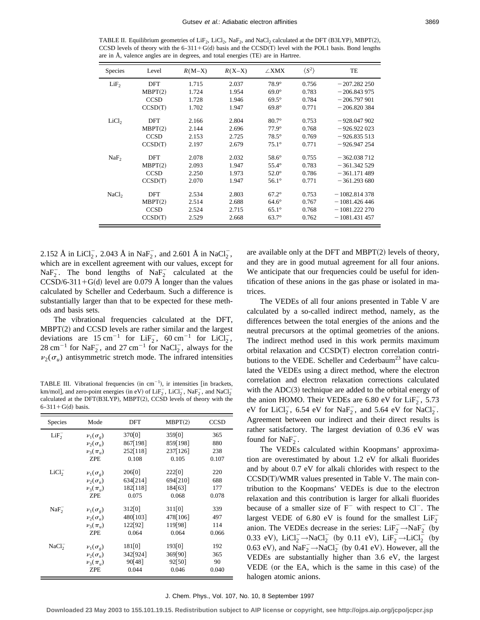TABLE II. Equilibrium geometries of LiF<sub>2</sub>, LiCl<sub>2</sub>, NaF<sub>2</sub>, and NaCl<sub>2</sub> calculated at the DFT (B3LYP), MBPT(2), CCSD levels of theory with the  $6-311+G(d)$  basis and the CCSD(T) level with the POL1 basis. Bond lengths are in  $A$ , valence angles are in degrees, and total energies  $(TE)$  are in Hartree.

| <b>Species</b>    | Level       | $R(M-X)$ | $R(X-X)$ | $\angle$ XMX | $\langle S^2 \rangle$ | TE             |
|-------------------|-------------|----------|----------|--------------|-----------------------|----------------|
| LiF <sub>2</sub>  | DFT         | 1.715    | 2.037    | $78.9^\circ$ | 0.756                 | $-207.282250$  |
|                   | MBPT(2)     | 1.724    | 1.954    | $69.0^\circ$ | 0.783                 | $-206.843975$  |
|                   | <b>CCSD</b> | 1.728    | 1.946    | $69.5^\circ$ | 0.784                 | $-206,797,901$ |
|                   | CCSD(T)     | 1.702    | 1.947    | $69.8^\circ$ | 0.771                 | $-206.820384$  |
| LiCl <sub>2</sub> | DFT         | 2.166    | 2.804    | $80.7^\circ$ | 0.753                 | $-928.047902$  |
|                   | MBPT(2)     | 2.144    | 2.696    | $77.9^\circ$ | 0.768                 | $-926.922023$  |
|                   | <b>CCSD</b> | 2.153    | 2.725    | $78.5^\circ$ | 0.769                 | $-926.835513$  |
|                   | CCSD(T)     | 2.197    | 2.679    | $75.1^\circ$ | 0.771                 | $-926.947254$  |
| NaF <sub>2</sub>  | DFT         | 2.078    | 2.032    | $58.6^\circ$ | 0.755                 | $-362.038712$  |
|                   | MBPT(2)     | 2.093    | 1.947    | $55.4^\circ$ | 0.783                 | $-361.342529$  |
|                   | <b>CCSD</b> | 2.250    | 1.973    | $52.0^\circ$ | 0.786                 | $-361.171489$  |
|                   | CCSD(T)     | 2.070    | 1.947    | $56.1^\circ$ | 0.771                 | $-361.293680$  |
| NaCl <sub>2</sub> | DFT         | 2.534    | 2.803    | $67.2^\circ$ | 0.753                 | $-1082.814378$ |
|                   | MBPT(2)     | 2.514    | 2.688    | $64.6^\circ$ | 0.767                 | $-1081.426446$ |
|                   | <b>CCSD</b> | 2.524    | 2.715    | $65.1^\circ$ | 0.768                 | $-1081.222270$ |
|                   | CCSD(T)     | 2.529    | 2.668    | $63.7^\circ$ | 0.762                 | $-1081.431457$ |

2.152 Å in LiCl<sub>2</sub>, 2.043 Å in NaF<sub>2</sub>, and 2.601 Å in NaCl<sub>2</sub>, which are in excellent agreement with our values, except for  $\text{NaF}_2^-$ . The bond lengths of  $\text{NaF}_2^-$  calculated at the  $CCSD/6-311+G(d)$  level are 0.079 Å longer than the values calculated by Scheller and Cederbaum. Such a difference is substantially larger than that to be expected for these methods and basis sets.

The vibrational frequencies calculated at the DFT,  $MBPT(2)$  and CCSD levels are rather similar and the largest deviations are  $15 \text{ cm}^{-1}$  for  $\text{LiF}_2^-$ ,  $60 \text{ cm}^{-1}$  for  $\text{LiCl}_2^-$ , 28 cm<sup>-1</sup> for NaF<sub>2</sub><sup>-</sup>, and 27 cm<sup>-1</sup> for NaCl<sub>2</sub><sup>-</sup>, always for the  $v_2(\sigma_u)$  antisymmetric stretch mode. The infrared intensities

TABLE III. Vibrational frequencies (in  $cm^{-1}$ ), ir intensities [in brackets, km/mol], and zero-point energies (in eV) of  $\text{LiF}_2^-$ ,  $\text{LiCl}_2^-$ ,  $\text{NaF}_2^-$ , and  $\text{NaCl}_2^$ calculated at the DFT $(B3LYP)$ , MBPT $(2)$ , CCSD levels of theory with the  $6-311+G(d)$  basis.

| Species           | Mode                  | DFT      | MBPT(2)  | <b>CCSD</b> |
|-------------------|-----------------------|----------|----------|-------------|
| LiF <sub>2</sub>  | $v_1(\sigma_g)$       | 370[0]   | 359[0]   | 365         |
|                   | $\nu_{2}(\sigma_{u})$ | 867[198] | 859[198] | 880         |
|                   | $\nu_3(\pi_u)$        | 252[118] | 237[126] | 238         |
|                   | ZPE                   | 0.108    | 0.105    | 0.107       |
| LiCl <sub>2</sub> | $v_1(\sigma_g)$       | 206[0]   | 222[0]   | 220         |
|                   | $\nu_{2}(\sigma_{u})$ | 634[214] | 694[210] | 688         |
|                   | $\nu_{3}(\pi_{u})$    | 182[118] | 184[63]  | 177         |
|                   | ZPE                   | 0.075    | 0.068    | 0.078       |
| $NaF_2^-$         | $v_1(\sigma_g)$       | 312[0]   | 311[0]   | 339         |
|                   | $\nu_{2}(\sigma_{u})$ | 480[103] | 478[106] | 497         |
|                   | $\nu_3(\pi_{\mu})$    | 122[92]  | 119[98]  | 114         |
|                   | ZPE                   | 0.064    | 0.064    | 0.066       |
| NaCl <sub>2</sub> | $v_1(\sigma_g)$       | 181[0]   | 193[0]   | 192         |
|                   | $\nu_{2}(\sigma_{u})$ | 342[924] | 369[90]  | 365         |
|                   | $\nu_{3}(\pi_{u})$    | 90[48]   | 92[50]   | 90          |
|                   | ZPE                   | 0.044    | 0.046    | 0.040       |

are available only at the DFT and MBPT $(2)$  levels of theory, and they are in good mutual agreement for all four anions. We anticipate that our frequencies could be useful for identification of these anions in the gas phase or isolated in matrices.

The VEDEs of all four anions presented in Table V are calculated by a so-called indirect method, namely, as the differences between the total energies of the anions and the neutral precursors at the optimal geometries of the anions. The indirect method used in this work permits maximum orbital relaxation and  $CCSD(T)$  electron correlation contributions to the VEDE. Scheller and Cederbaum<sup>23</sup> have calculated the VEDEs using a direct method, where the electron correlation and electron relaxation corrections calculated with the  $ADC(3)$  technique are added to the orbital energy of the anion HOMO. Their VEDEs are 6.80 eV for  $\text{LiF}_2^{\text{-}}$ , 5.73 eV for  $LiCl_2^-$ , 6.54 eV for Na $F_2^-$ , and 5.64 eV for NaCl<sub>2</sub>. Agreement between our indirect and their direct results is rather satisfactory. The largest deviation of 0.36 eV was found for  $\text{NaF}_2^-$ .

The VEDEs calculated within Koopmans' approximation are overestimated by about 1.2 eV for alkali fluorides and by about 0.7 eV for alkali chlorides with respect to the  $CCSD(T)/WMR$  values presented in Table V. The main contribution to the Koopmans' VEDEs is due to the electron relaxation and this contribution is larger for alkali fluorides because of a smaller size of  $F^-$  with respect to  $Cl^-$ . The largest VEDE of 6.80 eV is found for the smallest  $\text{LiF}_2^$ anion. The VEDEs decrease in the series:  $\text{LiF}_2^- \rightarrow \text{NaF}_2^-$  (by 0.33 eV), LiCl<sub>2</sub> → NaCl<sub>2</sub> (by 0.11 eV), LiF<sub>2</sub> → LiCl<sub>2</sub> (by 0.63 eV), and  $\text{NaF}_2^- \rightarrow \text{NaCl}_2^-$  (by 0.41 eV). However, all the VEDEs are substantially higher than 3.6 eV, the largest VEDE (or the EA, which is the same in this case) of the halogen atomic anions.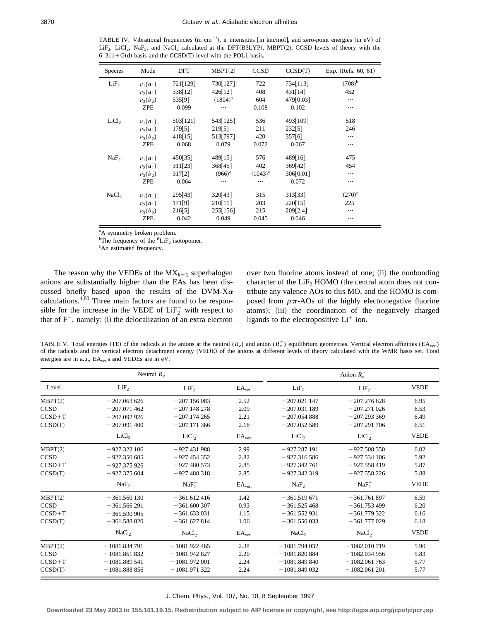TABLE IV. Vibrational frequencies (in cm<sup>-1</sup>), ir intensities [in km/mol], and zero-point energies (in eV) of LiF<sub>2</sub>, LiCl<sub>2</sub>, NaF<sub>2</sub>, and NaCl<sub>2</sub> calculated at the DFT(B3LYP), MBPT(2), CCSD levels of theory with the  $6-311+G(d)$  basis and the CCSD(T) level with the POL1 basis.

| <b>Species</b>    | Mode             | DFT      | MBPT(2)      | <b>CCSD</b>  | CCSD(T)   | Exp. (Refs. 60, 61) |
|-------------------|------------------|----------|--------------|--------------|-----------|---------------------|
| LiF <sub>2</sub>  | $\nu_1(a_1)$     | 721[129] | 730 $[127]$  | 722          | 734[113]  | $(708)^{b}$         |
|                   | $\nu_2(a_1)$     | 338[12]  | 426[12]      | 408          | 431[14]   | 452                 |
|                   | $\nu_3(b_2)$     | 535[9]   | $(1804)^{a}$ | 604          | 479[0.03] |                     |
|                   | <b>ZPE</b>       | 0.099    | .            | 0.108        | 0.102     | .                   |
| LiCl <sub>2</sub> | $\nu_1(a_1)$     | 503[121] | 543[125]     | 536          | 493[109]  | 518                 |
|                   | $\nu_2(a_1)$     | 179[5]   | 219[5]       | 211          | 232[5]    | 246                 |
|                   | $\nu_3(b_2)$     | 418[15]  | 513[797]     | 420          | 357[6]    | .                   |
|                   | ZPE              | 0.068    | 0.079        | 0.072        | 0.067     | .                   |
| NaF <sub>2</sub>  | $\nu_1(a_1)$     | 450[35]  | 489[15]      | 576          | 489[16]   | 475                 |
|                   | $\nu_{2}(a_{1})$ | 311[23]  | 368[45]      | 402          | 369[42]   | 454                 |
|                   | $\nu_3(b_2)$     | 317[2]   | $(966)^{a}$  | $(1043)^{a}$ | 306[0.01] | .                   |
|                   | <b>ZPE</b>       | 0.064    | .            | .            | 0.072     | .                   |
| NaCl <sub>2</sub> | $\nu_1(a_1)$     | 295[43]  | 320[43]      | 315          | 313[33]   | $(270)^{\circ}$     |
|                   | $\nu_2(a_1)$     | 171[9]   | 210[11]      | 203          | 220[15]   | 225                 |
|                   | $\nu_3(b_2)$     | 216[5]   | 255[156]     | 215          | 209[2.4]  | .                   |
|                   | <b>ZPE</b>       | 0.042    | 0.049        | 0.045        | 0.046     |                     |

<sup>a</sup>A symmetry broken problem.

<sup>b</sup>The frequency of the <sup>6</sup>LiF<sub>2</sub> isotopomer.

<sup>c</sup>An estimated frequency.

The reason why the VEDEs of the  $MX_{k+1}$  superhalogen anions are substantially higher than the EAs has been discussed briefly based upon the results of the DVM-X $\alpha$ calculations.4,80 Three main factors are found to be responsible for the increase in the VEDE of  $\text{LiF}_2^-$  with respect to that of  $F^-$ , namely: (i) the delocalization of an extra electron over two fluorine atoms instead of one; (ii) the nonbonding character of the  $LiF<sub>2</sub>$  HOMO (the central atom does not contribute any valence AOs to this MO, and the HOMO is composed from  $p\pi$ -AOs of the highly electronegative fluorine atoms); (iii) the coordination of the negatively charged ligands to the electropositive  $Li<sup>+</sup>$  ion.

TABLE V. Total energies (TE) of the radicals at the anions at the neutral  $(R_e)$  and anion  $(R_e^-)$  equilibrium geometries. Vertical electron affinities (EA<sub>vert</sub>) of the radicals and the vertical electron detachment energy (VEDE) of the anions at different levels of theory calculated with the WMR basis set. Total energies are in a.u.,  $EA_{vert}$ s and VEDEs are in eV.

|             | Neutral $R_e$     |                   |                           |                   | Anion $R_e^-$     |             |  |  |
|-------------|-------------------|-------------------|---------------------------|-------------------|-------------------|-------------|--|--|
| Level       | LiF <sub>2</sub>  | $LiF_2^-$         | $\text{EA}_{\text{vert}}$ | LiF <sub>2</sub>  | $LiF_2^-$         | <b>VEDE</b> |  |  |
| MBPT(2)     | $-207.063626$     | $-207.156083$     | 2.52                      | $-207.021$ 147    | $-207.276628$     | 6.95        |  |  |
| <b>CCSD</b> | $-207.071462$     | $-207.148278$     | 2.09                      | $-207.031189$     | $-207.271026$     | 6.53        |  |  |
| $CCSD+T$    | $-207.092926$     | $-207.174265$     | 2.21                      | $-207.054888$     | $-207.293369$     | 6.49        |  |  |
| CCSD(T)     | $-207.091400$     | $-207.171366$     | 2.18                      | $-207.052589$     | $-207.291706$     | 6.51        |  |  |
|             | LiCl <sub>2</sub> | LiCl <sub>2</sub> | EA <sub>vert</sub>        | LiCl <sub>2</sub> | LiCl <sub>2</sub> | <b>VEDE</b> |  |  |
| MBPT(2)     | $-927.322106$     | $-927.431988$     | 2.99                      | $-927.287191$     | $-927.508350$     | 6.02        |  |  |
| <b>CCSD</b> | $-927.350685$     | $-927.454352$     | 2.82                      | $-927.316.586$    | $-927.534106$     | 5.92        |  |  |
| $CCSD+T$    | $-927.375926$     | $-927.480573$     | 2.85                      | $-927.342761$     | $-927.558419$     | 5.87        |  |  |
| CCSD(T)     | $-927.375604$     | $-927.480318$     | 2.85                      | $-927.342319$     | $-927.558226$     | 5.88        |  |  |
|             | NaF <sub>2</sub>  | $NaF_2^-$         | EA <sub>vert</sub>        | NaF <sub>2</sub>  | $NaF_2^-$         | <b>VEDE</b> |  |  |
| MBPT(2)     | $-361.560130$     | $-361.612416$     | 1.42                      | $-361.519671$     | $-361.761897$     | 6.59        |  |  |
| <b>CCSD</b> | $-361,566291$     | $-361,600307$     | 0.93                      | $-361.525468$     | $-361.753499$     | 6.20        |  |  |
| $CCSD+T$    | $-361.590905$     | $-361.633031$     | 1.15                      | $-361.552931$     | $-361.779322$     | 6.16        |  |  |
| CCSD(T)     | $-361.588820$     | $-361.627814$     | 1.06                      | $-361.550033$     | $-361.777029$     | 6.18        |  |  |
|             | NaCl <sub>2</sub> | NaCl <sub>2</sub> | EA <sub>vert</sub>        | NaCl <sub>2</sub> | NaCl <sub>2</sub> | <b>VEDE</b> |  |  |
| MBPT(2)     | $-1081.834791$    | $-1081.922465$    | 2.38                      | $-1081.794032$    | $-1082.010719$    | 5.90        |  |  |
| <b>CCSD</b> | $-1081.861832$    | $-1081.942827$    | 2.20                      | $-1081.820884$    | $-1082.034956$    | 5.83        |  |  |
| $CCSD+T$    | $-1081.889541$    | $-1081.972001$    | 2.24                      | $-1081.849840$    | $-1082.061763$    | 5.77        |  |  |
| CCSD(T)     | $-1081.888856$    | $-1081.971322$    | 2.24                      | $-1081.849032$    | $-1082.061201$    | 5.77        |  |  |

#### J. Chem. Phys., Vol. 107, No. 10, 8 September 1997

**Downloaded 23 May 2003 to 155.101.19.15. Redistribution subject to AIP license or copyright, see http://ojps.aip.org/jcpo/jcpcr.jsp**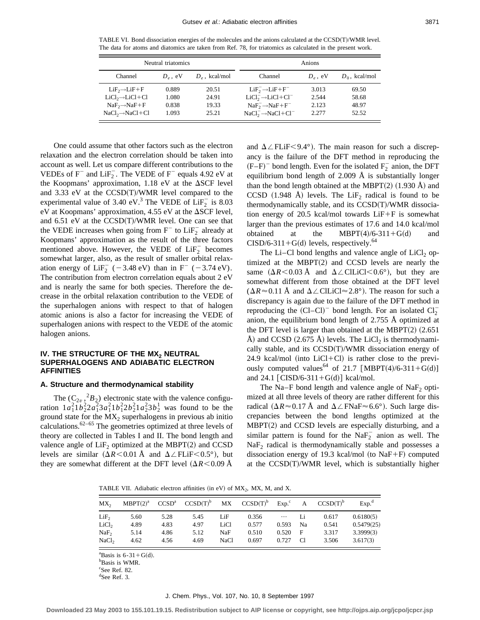TABLE VI. Bond dissociation energies of the molecules and the anions calculated at the  $CCSD(T)/WMR$  level. The data for atoms and diatomics are taken from Ref. 78, for triatomics as calculated in the present work.

|                               | Neutral triatomics |                          | Anions                          |            |                  |  |
|-------------------------------|--------------------|--------------------------|---------------------------------|------------|------------------|--|
| Channel                       | $D_e$ , eV         | $D_{\varphi}$ , kcal/mol | Channel                         | $D_e$ , eV | $D_0$ , kcal/mol |  |
| $LiF2 \rightarrow LiF + F$    | 0.889              | 20.51                    | $LiF_2^- \rightarrow LiF + F^-$ | 3.013      | 69.50            |  |
| $LiCl2 \rightarrow LiCl + Cl$ | 1.080              | 24.91                    | $LiCl2- \rightarrow LiCl + Cl-$ | 2.544      | 58.68            |  |
| $NaF2 \rightarrow NaF+F$      | 0.838              | 19.33                    | $NaF2 \rightarrow NaF + F-$     | 2.123      | 48.97            |  |
| $NaCl2 \rightarrow NaCl + Cl$ | 1.093              | 25.21                    | $NaCl2 \rightarrow NaCl + Cl2$  | 2.277      | 52.52            |  |

One could assume that other factors such as the electron relaxation and the electron correlation should be taken into account as well. Let us compare different contributions to the VEDEs of  $F^-$  and  $LiF_2^-$ . The VEDE of  $F^-$  equals 4.92 eV at the Koopmans' approximation,  $1.18$  eV at the  $\Delta$ SCF level and  $3.33$  eV at the  $CCSD(T)/WMR$  level compared to the experimental value of 3.40 eV.<sup>3</sup> The VEDE of  $LiF_2^-$  is 8.03 eV at Koopmans' approximation, 4.55 eV at the  $\Delta$ SCF level, and  $6.51$  eV at the  $CCSD(T)/WMR$  level. One can see that the VEDE increases when going from  $F^-$  to  $LiF_2^-$  already at Koopmans' approximation as the result of the three factors mentioned above. However, the VEDE of  $LiF_2^-$  becomes somewhat larger, also, as the result of smaller orbital relaxation energy of  $\text{LiF}_2^-$  (-3.48 eV) than in F<sup>-</sup> (-3.74 eV). The contribution from electron correlation equals about 2 eV and is nearly the same for both species. Therefore the decrease in the orbital relaxation contribution to the VEDE of the superhalogen anions with respect to that of halogen atomic anions is also a factor for increasing the VEDE of superhalogen anions with respect to the VEDE of the atomic halogen anions.

## **IV. THE STRUCTURE OF THE MX<sub>2</sub> NEUTRAL SUPERHALOGENS AND ADIABATIC ELECTRON AFFINITIES**

## **A. Structure and thermodynamical stability**

The  $(C_{2\nu}^2, {}^2B_2)$  electronic state with the valence configuration  $1a_1^21b_2^22a_1^23a_1^21b_1^22b_2^21a_2^23b_2^1$  was found to be the ground state for the  $MX_2$  superhalogens in previous ab initio calculations. $62-65$  The geometries optimized at three levels of theory are collected in Tables I and II. The bond length and valence angle of  $LiF<sub>2</sub>$  optimized at the MBPT $(2)$  and CCSD levels are similar  $(\Delta R < 0.01 \text{ Å}$  and  $\Delta \angle FLiF < 0.5^{\circ}$ ), but they are somewhat different at the DFT level  $(\Delta R < 0.09 \text{ Å})$ 

and  $\Delta \angle$ FLiF $<$ 9.4°). The main reason for such a discrepancy is the failure of the DFT method in reproducing the  $(F-F)^-$  bond length. Even for the isolated  $F_2^-$  anion, the DFT equilibrium bond length of 2.009 Å is substantially longer than the bond length obtained at the MBPT $(2)$   $(1.930 \text{ Å})$  and CCSD (1.948 Å) levels. The LiF<sub>2</sub> radical is found to be thermodynamically stable, and its  $CCSD(T)/WMR$  dissociation energy of 20.5 kcal/mol towards  $LiF+F$  is somewhat larger than the previous estimates of 17.6 and 14.0 kcal/mol obtained at the MBPT(4)/6-311+G(d) and CISD/6-311+G(d) levels, respectively.<sup>64</sup>

The Li–Cl bond lengths and valence angle of  $LiCl<sub>2</sub>$  optimized at the MBPT $(2)$  and CCSD levels are nearly the same  $(\Delta R < 0.03 \text{ Å}$  and  $\Delta \angle$ ClLiCl $< 0.6^{\circ}$ ), but they are somewhat different from those obtained at the DFT level  $(\Delta R \approx 0.11 \text{ Å}$  and  $\Delta \angle$  CILiCl $\approx 2.8^{\circ}$ ). The reason for such a discrepancy is again due to the failure of the DFT method in reproducing the  $(Cl-Cl)^-$  bond length. For an isolated  $Cl_2^$ anion, the equilibrium bond length of 2.755 Å optimized at the DFT level is larger than obtained at the MBPT $(2)$   $(2.651)$ Å) and CCSD (2.675 Å) levels. The LiCl<sub>2</sub> is thermodynamically stable, and its  $CCSD(T)/WMR$  dissociation energy of 24.9 kcal/mol (into LiCl+Cl) is rather close to the previously computed values<sup>64</sup> of 21.7 [MBPT(4)/6-311+G(d)] and 24.1  $\lceil$  CISD/6-311+G(d) $\rceil$  kcal/mol.

The Na–F bond length and valence angle of  $NaF<sub>2</sub>$  optimized at all three levels of theory are rather different for this radical ( $\Delta R \approx 0.17$  Å and  $\Delta \angle$ FNaF $\approx 6.6^{\circ}$ ). Such large discrepancies between the bond lengths optimized at the  $MBPT(2)$  and CCSD levels are especially disturbing, and a similar pattern is found for the  $\text{NaF}_2^-$  anion as well. The NaF<sub>2</sub> radical is thermodynamically stable and possesses a dissociation energy of 19.3 kcal/mol (to NaF+F) computed at the  $CCSD(T)/WMR$  level, which is substantially higher

TABLE VII. Adiabatic electron affinities (in eV) of  $MX_2$ , MX, M, and X.

| $MX_{2}$          | MBPT(2) <sup>a</sup> | CCSD <sup>a</sup> | $CCSD(T)^b$ | МX          | $CCSD(T)^b$ | Exp <sup>c</sup> | A  | CCSD(T) <sup>b</sup> | Exp <sup>d</sup> |
|-------------------|----------------------|-------------------|-------------|-------------|-------------|------------------|----|----------------------|------------------|
| LiF <sub>2</sub>  | 5.60                 | 5.28              | 5.45        | LiF         | 0.356       | $\ldots$         | Li | 0.617                | 0.6180(5)        |
| LiCl <sub>2</sub> | 4.89                 | 4.83              | 4.97        | LiCl        | 0.577       | 0.593            | Na | 0.541                | 0.5479(25)       |
| NaF <sub>2</sub>  | 5.14                 | 4.86              | 5.12        | <b>NaF</b>  | 0.510       | 0.520            | F  | 3.317                | 3.3999(3)        |
| NaCl <sub>2</sub> | 4.62                 | 4.56              | 4.69        | <b>NaCl</b> | 0.697       | 0.727            | C1 | 3.506                | 3.617(3)         |

<sup>a</sup>Basis is  $6-31+G(d)$ .

b Basis is WMR.

c See Ref. 82.

d See Ref. 3.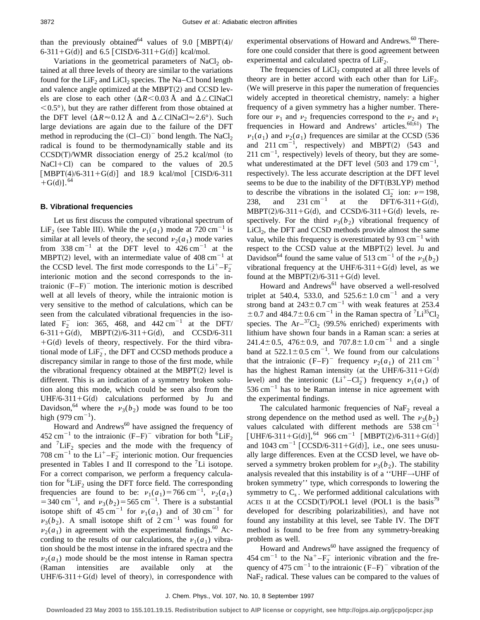than the previously obtained<sup>64</sup> values of 9.0 [MBPT(4)/ 6-311+G(d)] and 6.5  $[CISD/6-311+G(d)]$  kcal/mol.

Variations in the geometrical parameters of NaCl<sub>2</sub> obtained at all three levels of theory are similar to the variations found for the  $LiF<sub>2</sub>$  and  $LiCl<sub>2</sub>$  species. The Na–Cl bond length and valence angle optimized at the MBPT $(2)$  and CCSD levels are close to each other  $(\Delta R < 0.03 \text{ Å}$  and  $\Delta \angle$ ClNaCl  $< 0.5^{\circ}$ ), but they are rather different from those obtained at the DFT level  $(\Delta R \approx 0.12 \text{ Å}$  and  $\Delta \angle$ ClNaCl $\approx 2.6^{\circ}$ ). Such large deviations are again due to the failure of the DFT method in reproducing the  $(Cl–Cl)$ <sup>-</sup> bond length. The NaCl<sub>2</sub> radical is found to be thermodynamically stable and its  $CCSD(T)/WMR$  dissociation energy of 25.2 kcal/mol (to  $NaCl+Cl$ ) can be compared to the values of 20.5  $\lceil \text{MBPT}(4)/6 - 311 + G(d) \rceil$  and 18.9 kcal/mol  $\lceil \text{CISD}/6 - 311 \rceil$  $+G(d)$ ].<sup>64</sup>

### **B. Vibrational frequencies**

Let us first discuss the computed vibrational spectrum of LiF<sub>2</sub> (see Table III). While the  $\nu_1(a_1)$  mode at 720 cm<sup>-1</sup> is similar at all levels of theory, the second  $\nu_2(a_1)$  mode varies from 338 cm<sup>-1</sup> at the DFT level to  $426 \text{ cm}^{-1}$  at the MBPT(2) level, with an intermediate value of  $408 \text{ cm}^{-1}$  at the CCSD level. The first mode corresponds to the  $Li^+$ - $F_2^$ interionic motion and the second corresponds to the intraionic  $(F-F)^-$  motion. The interionic motion is described well at all levels of theory, while the intraionic motion is very sensitive to the method of calculations, which can be seen from the calculated vibrational frequencies in the isolated  $F_2^-$  ion: 365, 468, and 442 cm<sup>-1</sup> at the DFT/ 6-311+G(d), MBPT(2)/6-311+G(d), and CCSD/6-311  $+G(d)$  levels of theory, respectively. For the third vibrational mode of  $\text{LiF}_2^{\text{-}}$ , the DFT and CCSD methods produce a discrepancy similar in range to those of the first mode, while the vibrational frequency obtained at the MBPT $(2)$  level is different. This is an indication of a symmetry broken solution along this mode, which could be seen also from the UHF/6-311+G(d) calculations performed by Ju and Davidson,<sup>64</sup> where the  $v_3(b_2)$  mode was found to be too high  $(979 \text{ cm}^{-1})$ .

Howard and Andrews $^{60}$  have assigned the frequency of 452 cm<sup>-1</sup> to the intraionic  $(F-F)^-$  vibration for both <sup>6</sup>LiF<sub>2</sub> and  ${}^{7}LiF_2$  species and the mode with the frequency of 708 cm<sup>-1</sup> to the  $Li<sup>+</sup>-F<sub>2</sub><sup>-</sup>$  interionic motion. Our frequencies presented in Tables I and II correspond to the  ${}^{7}Li$  isotope. For a correct comparison, we perform a frequency calculation for  ${}^{6}LiF_2$  using the DFT force field. The corresponding frequencies are found to be:  $v_1(a_1) = 766 \text{ cm}^{-1}$ ,  $v_2(a_1)$  $=$  340 cm<sup>-1</sup>, and  $v_3(b_2)$  = 565 cm<sup>-1</sup>. There is a substantial isotope shift of 45 cm<sup>-1</sup> for  $v_1(a_1)$  and of 30 cm<sup>-1</sup> for  $v_3(b_2)$ . A small isotope shift of  $2 \text{ cm}^{-1}$  was found for  $v_2(a_1)$  in agreement with the experimental findings.<sup>60</sup> According to the results of our calculations, the  $\nu_1(a_1)$  vibration should be the most intense in the infrared spectra and the  $\nu_2(a_1)$  mode should be the most intense in Raman spectra (Raman intensities are available only at the UHF/6-311+G(d) level of theory), in correspondence with experimental observations of Howard and Andrews.<sup>60</sup> Therefore one could consider that there is good agreement between experimental and calculated spectra of  $LiF<sub>2</sub>$ .

The frequencies of  $LiCl<sub>2</sub>$  computed at all three levels of theory are in better accord with each other than for  $LiF<sub>2</sub>$ . (We will preserve in this paper the numeration of frequencies widely accepted in theoretical chemistry, namely: a higher frequency of a given symmetry has a higher number. Therefore our  $v_1$  and  $v_2$  frequencies correspond to the  $v_2$  and  $v_1$ frequencies in Howard and Andrews' articles. $60,61$  The  $\nu_1(a_1)$  and  $\nu_2(a_1)$  frequences are similar at the CCSD (536) and  $211 \text{ cm}^{-1}$ , respectively) and MBPT(2) (543 and  $211 \text{ cm}^{-1}$ , respectively) levels of theory, but they are somewhat underestimated at the DFT level  $(503 \text{ and } 179 \text{ cm}^{-1})$ , respectively). The less accurate description at the DFT level seems to be due to the inability of the  $DFT(B3LYP)$  method to describe the vibrations in the isolated  $Cl_2^-$  ion:  $\nu=198$ , 238, and 231 cm<sup>-1</sup> at the DFT/6-311+G(d),  $MBPT(2)/6-311+G(d)$ , and CCSD/6-311+G(d) levels, respectively. For the third  $v_3(b_2)$  vibrational frequency of  $LiCl<sub>2</sub>$ , the DFT and CCSD methods provide almost the same value, while this frequency is overestimated by 93  $\text{cm}^{-1}$  with respect to the CCSD value at the MBPT $(2)$  level. Ju and Davidson<sup>64</sup> found the same value of 513 cm<sup>-1</sup> of the  $v_3(b_2)$ vibrational frequency at the UHF/6-311+G(d) level, as we found at the MBPT $(2)/6-311+G(d)$  level.

Howard and Andrews<sup>61</sup> have observed a well-resolved triplet at 540.4, 533.0, and  $525.6 \pm 1.0 \text{ cm}^{-1}$  and a very strong band at  $243\pm0.7$  cm<sup>-1</sup> with weak features at 253.4  $\pm$  0.7 and 484.7 $\pm$ 0.6 cm<sup>-1</sup> in the Raman spectra of <sup>7</sup>Li<sup>35</sup>Cl<sub>2</sub> species. The  $Ar^{-37}Cl_2$  (99.5% enriched) experiments with lithium have shown four bands in a Raman scan: a series at 241.4 $\pm$ 0.5, 476 $\pm$ 0.9, and 707.8 $\pm$ 1.0 cm<sup>-1</sup> and a single band at  $522.1 \pm 0.5$  cm<sup>-1</sup>. We found from our calculations that the intraionic  $(F-F)^-$  frequency  $\nu_2(a_1)$  of 211 cm<sup>-1</sup> has the highest Raman intensity (at the UHF/6-311+G(d) level) and the interionic  $(Li^+ - Cl_2^-)$  frequency  $\nu_1(a_1)$  of  $536 \text{ cm}^{-1}$  has to be Raman intense in nice agreement with the experimental findings.

The calculated harmonic frequencies of  $NaF<sub>2</sub>$  reveal a strong dependence on the method used as well. The  $v_3(b_2)$ values calculated with different methods are  $538 \text{ cm}^{-1}$ [UHF/6-311+G(d)],<sup>64</sup> 966 cm<sup>-1</sup> [MBPT(2)/6-311+G(d)] and  $1043 \text{ cm}^{-1}$  [CCSD/6-311+G(d)], i.e., one sees unusually large differences. Even at the CCSD level, we have observed a symmetry broken problem for  $v_3(b_2)$ . The stability analysis revealed that this instability is of a ''UHF*→*UHF of broken symmetry'' type, which corresponds to lowering the symmetry to  $C_s$ . We performed additional calculations with ACES II at the CCSD(T)/POL1 level (POL1 is the basis<sup>79</sup> developed for describing polarizabilities), and have not found any instability at this level, see Table IV. The DFT method is found to be free from any symmetry-breaking problem as well.

Howard and Andrews<sup>60</sup> have assigned the frequency of 454 cm<sup>-1</sup> to the Na<sup>+</sup>-F<sub>2</sub><sup>-</sup> interionic vibration and the frequency of 475 cm<sup>-1</sup> to the intraionic  $(F-F)^-$  vibration of the  $NaF<sub>2</sub>$  radical. These values can be compared to the values of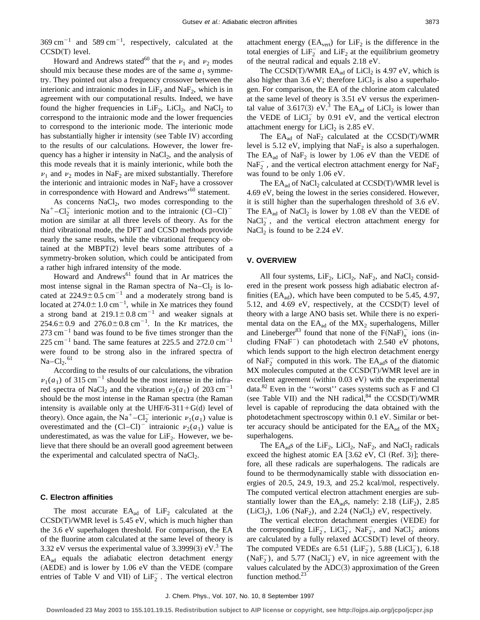$369 \text{ cm}^{-1}$  and  $589 \text{ cm}^{-1}$ , respectively, calculated at the  $CCSD(T)$  level.

Howard and Andrews stated<sup>60</sup> that the  $\nu_1$  and  $\nu_2$  modes should mix because these modes are of the same  $a_1$  symmetry. They pointed out also a frequency crossover between the interionic and intraionic modes in  $LiF<sub>2</sub>$  and NaF<sub>2</sub>, which is in agreement with our computational results. Indeed, we have found the higher frequencies in  $LiF<sub>2</sub>$ ,  $LiCl<sub>2</sub>$ , and NaCl<sub>2</sub> to correspond to the intraionic mode and the lower frequencies to correspond to the interionic mode. The interionic mode has substantially higher ir intensity (see Table IV) according to the results of our calculations. However, the lower frequency has a higher ir intensity in  $NaCl<sub>2</sub>$ , and the analysis of this mode reveals that it is mainly interionic, while both the  $\nu_1$  and  $\nu_2$  modes in NaF<sub>2</sub> are mixed substantially. Therefore the interionic and intraionic modes in  $NaF<sub>2</sub>$  have a crossover in correspondence with Howard and Andrews'<sup>60</sup> statement.

As concerns  $NaCl<sub>2</sub>$ , two modes corresponding to the  $Na<sup>+</sup>-Cl<sub>2</sub><sup>-</sup>$  interionic motion and to the intraionic  $(Cl-Cl)$ motion are similar at all three levels of theory. As for the third vibrational mode, the DFT and CCSD methods provide nearly the same results, while the vibrational frequency obtained at the MBPT $(2)$  level bears some attributes of a symmetry-broken solution, which could be anticipated from a rather high infrared intensity of the mode.

Howard and Andrews<sup>61</sup> found that in Ar matrices the most intense signal in the Raman spectra of  $Na-Cl<sub>2</sub>$  is located at  $224.9 \pm 0.5$  cm<sup>-1</sup> and a moderately strong band is located at  $274.0 \pm 1.0$  cm<sup>-1</sup>, while in Xe matrices they found a strong band at  $219.1 \pm 0.8$  cm<sup>-1</sup> and weaker signals at  $254.6 \pm 0.9$  and  $276.0 \pm 0.8$  cm<sup>-1</sup>. In the Kr matrices, the  $273$  cm<sup>-1</sup> band was found to be five times stronger than the 225 cm<sup>-1</sup> band. The same features at 225.5 and 272.0 cm<sup>-1</sup> were found to be strong also in the infrared spectra of  $Na-Cl<sub>2</sub>.<sup>61</sup>$ 

According to the results of our calculations, the vibration  $\nu_1(a_1)$  of 315 cm<sup>-1</sup> should be the most intense in the infrared spectra of NaCl<sub>2</sub> and the vibration  $v_2(a_1)$  of 203 cm<sup>-1</sup> should be the most intense in the Raman spectra (the Raman intensity is available only at the UHF/6-311+G(d) level of theory). Once again, the Na<sup>+</sup>-Cl<sub>2</sub> interionic  $\nu_1(a_1)$  value is overestimated and the  $(Cl–Cl)^-$  intraionic  $\nu_2(a_1)$  value is underestimated, as was the value for  $LiF<sub>2</sub>$ . However, we believe that there should be an overall good agreement between the experimental and calculated spectra of  $NaCl<sub>2</sub>$ .

#### **C. Electron affinities**

The most accurate  $EA_{ad}$  of  $LiF<sub>2</sub>$  calculated at the  $CCSD(T)/WMR$  level is 5.45 eV, which is much higher than the 3.6 eV superhalogen threshold. For comparison, the EA of the fluorine atom calculated at the same level of theory is 3.32 eV versus the experimental value of 3.3999(3) eV.<sup>3</sup> The EAad equals the adiabatic electron detachment energy  $(AEDE)$  and is lower by 1.06 eV than the VEDE (compare entries of Table V and VII) of  $\text{LiF}_2^-$ . The vertical electron attachment energy  $(EA<sub>vert</sub>)$  for  $LiF<sub>2</sub>$  is the difference in the total energies of  $\text{LiF}_2^-$  and  $\text{LiF}_2$  at the equilibrium geometry of the neutral radical and equals 2.18 eV.

The CCSD(T)/WMR  $EA_{ad}$  of LiCl<sub>2</sub> is 4.97 eV, which is also higher than 3.6 eV; therefore LiCl<sub>2</sub> is also a superhalogen. For comparison, the EA of the chlorine atom calculated at the same level of theory is 3.51 eV versus the experimental value of 3.617(3) eV.<sup>3</sup> The EA<sub>ad</sub> of LiCl<sub>2</sub> is lower than the VEDE of  $LiCl_2^-$  by 0.91 eV, and the vertical electron attachment energy for  $LiCl<sub>2</sub>$  is 2.85 eV.

The  $EA_{ad}$  of  $NaF_2$  calculated at the CCSD(T)/WMR level is 5.12 eV, implying that  $NaF<sub>2</sub>$  is also a superhalogen. The  $EA_{ad}$  of  $NaF_2$  is lower by 1.06 eV than the VEDE of  $\text{NaF}_2^-$ , and the vertical electron attachment energy for  $\text{NaF}_2$ was found to be only 1.06 eV.

The  $EA_{ad}$  of NaCl<sub>2</sub> calculated at  $CCSD(T)/WMR$  level is 4.69 eV, being the lowest in the series considered. However, it is still higher than the superhalogen threshold of 3.6 eV. The  $EA_{ad}$  of NaCl<sub>2</sub> is lower by 1.08 eV than the VEDE of  $NaCl<sub>2</sub><sup>-</sup>$ , and the vertical electron attachment energy for NaCl<sub>2</sub> is found to be 2.24 eV.

### **V. OVERVIEW**

All four systems,  $LiF_2$ ,  $LiCl_2$ ,  $NaF_2$ , and  $NaCl_2$  considered in the present work possess high adiabatic electron affinities ( $EA_{ad}$ ), which have been computed to be 5.45, 4.97, 5.12, and 4.69 eV, respectively, at the  $CCSD(T)$  level of theory with a large ANO basis set. While there is no experimental data on the  $EA_{ad}$  of the  $MX_2$  superhalogens, Miller and Lineberger<sup>83</sup> found that none of the  $F(NaF)^{-}_{n}$  ions (including  $FNaF^-$  can photodetach with 2.540 eV photons, which lends support to the high electron detachment energy of Na $F_2^-$  computed in this work. The EA<sub>ad</sub>s of the diatomic MX molecules computed at the CCSD(T)/WMR level are in excellent agreement (within  $0.03$  eV) with the experimental data.<sup>82</sup> Even in the ''worst'' cases systems such as F and Cl (see Table VII) and the NH radical, $84$  the CCSD(T)/WMR level is capable of reproducing the data obtained with the photodetachment spectroscopy within 0.1 eV. Similar or better accuracy should be anticipated for the  $EA_{ad}$  of the  $MX_2$ superhalogens.

The  $EA_{ad}$ s of the Li $F_2$ , LiCl<sub>2</sub>, Na $F_2$ , and NaCl<sub>2</sub> radicals exceed the highest atomic EA  $[3.62 \text{ eV}, \text{Cl}$  (Ref. 3)]; therefore, all these radicals are superhalogens. The radicals are found to be thermodynamically stable with dissociation energies of 20.5, 24.9, 19.3, and 25.2 kcal/mol, respectively. The computed vertical electron attachment energies are substantially lower than the  $EA_{ad}s$ , namely: 2.18 ( $LiF_2$ ), 2.85 (LiCl<sub>2</sub>), 1.06 (NaF<sub>2</sub>), and 2.24 (NaCl<sub>2</sub>) eV, respectively.

The vertical electron detachment energies (VEDE) for the corresponding  $\text{LiF}_2^-$ ,  $\text{LiCl}_2^-$ ,  $\text{NaF}_2^-$ , and  $\text{NaCl}_2^-$  anions are calculated by a fully relaxed  $\Delta CCSD(T)$  level of theory. The computed VEDEs are  $6.51$  (LiF<sub>2</sub>),  $5.88$  (LiCl<sub>2</sub>),  $6.18$  $(NaF<sub>2</sub>)$ , and 5.77  $(NaCl<sub>2</sub>)$  eV, in nice agreement with the values calculated by the  $ADC(3)$  approximation of the Green function method. $23$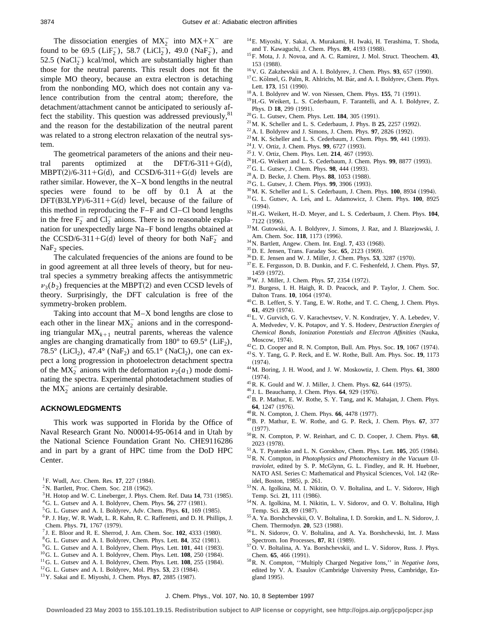The dissociation energies of  $MX_2^-$  into  $MX+X^-$  are found to be 69.5 ( $\text{LiF}_2^-$ ), 58.7 ( $\text{LiCl}_2^-$ ), 49.0 ( $\text{NaF}_2^-$ ), and 52.5 (NaCl<sub>2</sub>) kcal/mol, which are substantially higher than those for the neutral parents. This result does not fit the simple MO theory, because an extra electron is detaching from the nonbonding MO, which does not contain any valence contribution from the central atom; therefore, the detachment/attachment cannot be anticipated to seriously affect the stability. This question was addressed previously, <sup>81</sup> and the reason for the destabilization of the neutral parent was related to a strong electron relaxation of the neutral system.

The geometrical parameters of the anions and their neutral parents optimized at the DFT/6-311+G(d), MBPT(2)/6-311+G(d), and CCSD/6-311+G(d) levels are rather similar. However, the X–X bond lengths in the neutral species were found to be off by 0.1 Å at the  $DFT(B3LYP)/6-311+G(d)$  level, because of the failure of this method in reproducing the F–F and Cl–Cl bond lengths in the free  $F_2^-$  and  $Cl_2^-$  anions. There is no reasonable explanation for unexpectedly large Na–F bond lengths obtained at the CCSD/6-311+G(d) level of theory for both  $\text{NaF}_2^-$  and  $NaF<sub>2</sub>$  species.

The calculated frequencies of the anions are found to be in good agreement at all three levels of theory, but for neutral species a symmetry breaking affects the antisymmetric  $v_3(b_2)$  frequencies at the MBPT(2) and even CCSD levels of theory. Surprisingly, the DFT calculation is free of the symmetry-broken problem.

Taking into account that M–X bond lengths are close to each other in the linear  $MX_2^-$  anions and in the corresponding triangular  $MX_{k+1}$  neutral parents, whereas the valence angles are changing dramatically from  $180^{\circ}$  to  $69.5^{\circ}$  (LiF<sub>2</sub>), 78.5° (LiCl<sub>2</sub>), 47.4° (NaF<sub>2</sub>) and 65.1° (NaCl<sub>2</sub>), one can expect a long progression in photoelectron detachment spectra of the  $MX_2^-$  anions with the deformation  $\nu_2(a_1)$  mode dominating the spectra. Experimental photodetachment studies of the  $MX_2^-$  anions are certainly desirable.

#### **ACKNOWLEDGMENTS**

This work was supported in Florida by the Office of Naval Research Grant No. N00014-95-0614 and in Utah by the National Science Foundation Grant No. CHE9116286 and in part by a grant of HPC time from the DoD HPC Center.

- <sup>1</sup>F. Wudl, Acc. Chem. Res. **17**, 227 (1984).
- $2$ N. Bartlett, Proc. Chem. Soc. 218 (1962).
- <sup>3</sup>H. Hotop and W. C. Lineberger, J. Phys. Chem. Ref. Data **14**, 731 (1985).
- ${}^{4}$ G. L. Gutsev and A. I. Boldyrev, Chem. Phys. **56**, 277 (1981).
- ${}^5$ G. L. Gutsev and A. I. Boldyrev, Adv. Chem. Phys. **61**, 169 (1985).
- 6P. J. Hay, W. R. Wadt, L. R. Kahn, R. C. Raffenetti, and D. H. Phillips, J. Chem. Phys. **71**, 1767 (1979).
- ${}^{7}$  J. E. Bloor and R. E. Sherrod, J. Am. Chem. Soc.  $102$ , 4333 (1980).
- <sup>8</sup>G. L. Gutsev and A. I. Boldyrev, Chem. Phys. Lett. **84**, 352 (1981).
- $9^9$ G. L. Gutsev and A. I. Boldyrev, Chem. Phys. Lett.  $101$ , 441 (1983).
- $10^{\circ}$ G. L. Gutsev and A. I. Boldyrev, Chem. Phys. Lett. **108**, 250 (1984).
- $11$ <sup>G.</sup> L. Gutsev and A. I. Boldyrev, Chem. Phys. Lett. **108**, 255 (1984).
- $12$  G. L. Gutsev and A. I. Boldyrev, Mol. Phys. **53**, 23 (1984).
- <sup>13</sup> Y. Sakai and E. Miyoshi, J. Chem. Phys. **87**, 2885 (1987).
- 14E. Miyoshi, Y. Sakai, A. Murakami, H. Iwaki, H. Terashima, T. Shoda, and T. Kawaguchi, J. Chem. Phys. 89, 4193 (1988).
- 15F. Mota, J. J. Novoa, and A. C. Ramirez, J. Mol. Struct. Theochem. **43**, 153 (1988).
- $16$ V. G. Zakzhevskii and A. I. Boldyrev, J. Chem. Phys. **93**, 657 (1990).
- $17$ C. Kölmel, G. Palm, R. Ahlrichs, M. Bär, and A. I. Boldyrev, Chem. Phys. Lett. 173, 151 (1990).
- $18$ A. I. Boldyrev and W. von Niessen, Chem. Phys. **155**, 71 (1991).
- 19H.-G. Weikert, L. S. Cederbaum, F. Tarantelli, and A. I. Boldyrev, Z. Phys. D 18, 299 (1991).
- <sup>20</sup>G. L. Gutsev, Chem. Phys. Lett. **184**, 305 (1991).
- $21$  M. K. Scheller and L. S. Cederbaum, J. Phys. B  $25$ ,  $2257$  (1992).
- $22$  A. I. Boldyrev and J. Simons, J. Chem. Phys. **97**, 2826 (1992).
- <sup>23</sup> M. K. Scheller and L. S. Cederbaum, J. Chem. Phys. 99, 441 (1993).
- <sup>24</sup> J. V. Ortiz, J. Chem. Phys. **99**, 6727 (1993).
- <sup>25</sup> J. V. Ortiz, Chem. Phys. Lett. **214**, 467 (1993).
- <sup>26</sup> H.-G. Weikert and L. S. Cederbaum, J. Chem. Phys. 99, 8877 (1993).
- <sup>27</sup> G. L. Gutsev, J. Chem. Phys. **98**, 444 (1993).
- <sup>28</sup> A. D. Becke, J. Chem. Phys. **88**, 1053 (1988).
- <sup>29</sup>G. L. Gutsev, J. Chem. Phys. **99**, 3906 (1993).
- <sup>30</sup> M. K. Scheller and L. S. Cederbaum, J. Chem. Phys. **100**, 8934 (1994).
- <sup>31</sup>G. L. Gutsev, A. Les, and L. Adamowicz, J. Chem. Phys. **100**, 8925  $(1994).$
- 32H.-G. Weikert, H.-D. Meyer, and L. S. Cederbaum, J. Chem. Phys. **104**, 7122 (1996).
- 33M. Gutowski, A. I. Boldyrev, J. Simons, J. Raz, and J. Blazejowski, J. Am. Chem. Soc. 118, 1173 (1996).
- <sup>34</sup> N. Bartlett, Angew. Chem. Int. Engl. **7**, 433 (1968).
- <sup>35</sup> D. E. Jensen, Trans. Faraday Soc. **65**, 2123 (1969).
- <sup>36</sup> D. E. Jensen and W. J. Miller, J. Chem. Phys. **53**, 3287 (1970).
- 37E. E. Fergusson, D. B. Dunkin, and F. C. Feshenfeld, J. Chem. Phys. **57**, 1459 (1972).
- <sup>38</sup> W. J. Miller, J. Chem. Phys. **57**, 2354 (1972).
- <sup>39</sup> J. Burgess, I. H. Haigh, R. D. Peacock, and P. Taylor, J. Chem. Soc. Dalton Trans. **10**, 1064 (1974).
- 40C. B. Leffert, S. Y. Tang, E. W. Rothe, and T. C. Cheng, J. Chem. Phys. **61.** 4929 (1974).
- 41L. V. Gurvich, G. V. Karachevtsev, V. N. Kondratjev, Y. A. Lebedev, V. A. Medvedev, V. K. Potapov, and Y. S. Hodeev, *Destruction Energies of Chemical Bonds, Ionization Potentials and Electron Affinities* (Nauka, Moscow, 1974).
- <sup>42</sup> C. D. Cooper and R. N. Compton, Bull. Am. Phys. Soc. **19**, 1067 (1974).
- 43S. Y. Tang, G. P. Reck, and E. W. Rothe, Bull. Am. Phys. Soc. **19**, 1173  $(1974).$
- 44M. Boring, J. H. Wood, and J. W. Moskowtiz, J. Chem. Phys. **61**, 3800  $(1974).$
- <sup>45</sup>R. K. Gould and W. J. Miller, J. Chem. Phys. **62**, 644 (1975).
- <sup>46</sup> J. L. Beauchamp, J. Chem. Phys. **64**, 929 (1976).
- 47B. P. Mathur, E. W. Rothe, S. Y. Tang, and K. Mahajan, J. Chem. Phys. **64**, 1247 (1976).
- <sup>48</sup> R. N. Compton, J. Chem. Phys. **66**, 4478 (1977).
- 49B. P. Mathur, E. W. Rothe, and G. P. Reck, J. Chem. Phys. **67**, 377  $(1977).$
- 50R. N. Compton, P. W. Reinhart, and C. D. Cooper, J. Chem. Phys. **68**, 2023 (1978).
- <sup>51</sup> A. T. Pyatenko and L. N. Gorokhov, Chem. Phys. Lett. **105**, 205 (1984). 52R. N. Compton, in *Photophysics and Photochemistry in the Vacuum Ultraviolet*, edited by S. P. McGlynn, G. L. Findley, and R. H. Huebner, NATO ASI. Series C: Mathematical and Physical Sciences, Vol. 142 (Reidel, Boston, 1985), p. 261.
- 53N. A. Igolkina, M. I. Nikitin, O. V. Boltalina, and L. V. Sidorov, High Temp. Sci. 21, 111 (1986).
- 54N. A. Igolkina, M. I. Nikitin, L. V. Sidorov, and O. V. Boltalina, High Temp. Sci. 23, 89 (1987).
- 55A. Ya. Borshchevskii, O. V. Boltalina, I. D. Sorokin, and L. N. Sidorov, J. Chem. Thermodyn. **20**, 523 (1988).
- 56L. N. Sidorov, O. V. Boltalina, and A. Ya. Borshchevski, Int. J. Mass Spectrom. Ion Processes, 87, R1 (1989).
- <sup>57</sup>O. V. Boltalina, A. Ya. Borshchevskii, and L. V. Sidorov, Russ. J. Phys. Chem. 65, 466 (1991).
- 58R. N. Compton, ''Multiply Charged Negative Ions,'' in *Negative Ions*, edited by V. A. Esaulov (Cambridge University Press, Cambridge, England 1995).